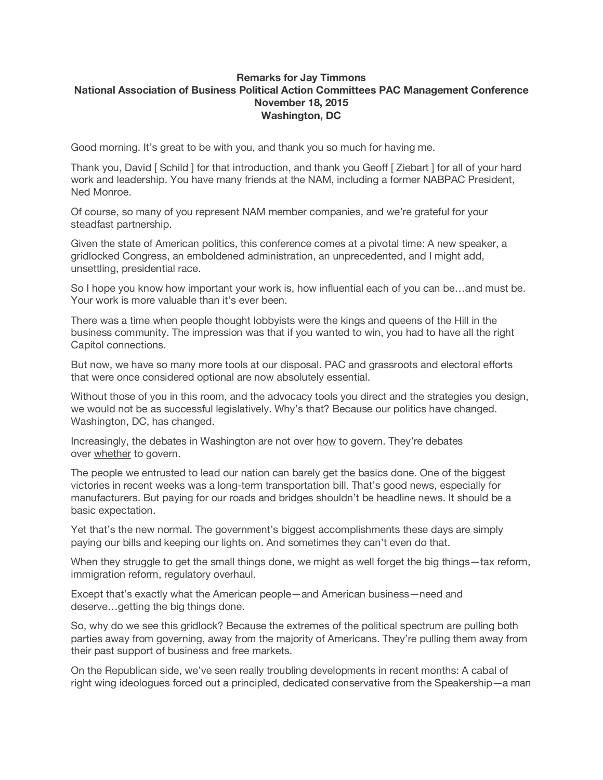## **Remarks for Jay Timmons National Association of Business Political Action Committees PAC Management Conference November 18, 2015 Washington, DC**

Good morning. It's great to be with you, and thank you so much for having me.

Thank you, David [ Schild ] for that introduction, and thank you Geoff [ Ziebart ] for all of your hard work and leadership. You have many friends at the NAM, including a former NABPAC President, Ned Monroe.

Of course, so many of you represent NAM member companies, and we're grateful for your steadfast partnership.

Given the state of American politics, this conference comes at a pivotal time: A new speaker, a gridlocked Congress, an emboldened administration, an unprecedented, and I might add, unsettling, presidential race.

So I hope you know how important your work is, how influential each of you can be…and must be. Your work is more valuable than it's ever been.

There was a time when people thought lobbyists were the kings and queens of the Hill in the business community. The impression was that if you wanted to win, you had to have all the right Capitol connections.

But now, we have so many more tools at our disposal. PAC and grassroots and electoral efforts that were once considered optional are now absolutely essential.

Without those of you in this room, and the advocacy tools you direct and the strategies you design, we would not be as successful legislatively. Why's that? Because our politics have changed. Washington, DC, has changed.

Increasingly, the debates in Washington are not over how to govern. They're debates over whether to govern.

The people we entrusted to lead our nation can barely get the basics done. One of the biggest victories in recent weeks was a long-term transportation bill. That's good news, especially for manufacturers. But paying for our roads and bridges shouldn't be headline news. It should be a basic expectation.

Yet that's the new normal. The government's biggest accomplishments these days are simply paying our bills and keeping our lights on. And sometimes they can't even do that.

When they struggle to get the small things done, we might as well forget the big things—tax reform, immigration reform, regulatory overhaul.

Except that's exactly what the American people—and American business—need and deserve…getting the big things done.

So, why do we see this gridlock? Because the extremes of the political spectrum are pulling both parties away from governing, away from the majority of Americans. They're pulling them away from their past support of business and free markets.

On the Republican side, we've seen really troubling developments in recent months: A cabal of right wing ideologues forced out a principled, dedicated conservative from the Speakership—a man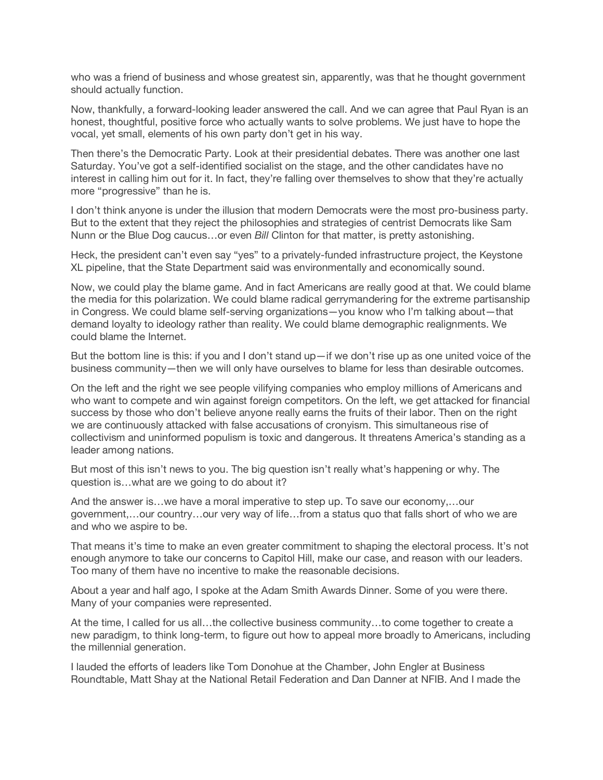who was a friend of business and whose greatest sin, apparently, was that he thought government should actually function.

Now, thankfully, a forward-looking leader answered the call. And we can agree that Paul Ryan is an honest, thoughtful, positive force who actually wants to solve problems. We just have to hope the vocal, yet small, elements of his own party don't get in his way.

Then there's the Democratic Party. Look at their presidential debates. There was another one last Saturday. You've got a self-identified socialist on the stage, and the other candidates have no interest in calling him out for it. In fact, they're falling over themselves to show that they're actually more "progressive" than he is.

I don't think anyone is under the illusion that modern Democrats were the most pro-business party. But to the extent that they reject the philosophies and strategies of centrist Democrats like Sam Nunn or the Blue Dog caucus…or even *Bill* Clinton for that matter, is pretty astonishing.

Heck, the president can't even say "yes" to a privately-funded infrastructure project, the Keystone XL pipeline, that the State Department said was environmentally and economically sound.

Now, we could play the blame game. And in fact Americans are really good at that. We could blame the media for this polarization. We could blame radical gerrymandering for the extreme partisanship in Congress. We could blame self-serving organizations—you know who I'm talking about—that demand loyalty to ideology rather than reality. We could blame demographic realignments. We could blame the Internet.

But the bottom line is this: if you and I don't stand up—if we don't rise up as one united voice of the business community—then we will only have ourselves to blame for less than desirable outcomes.

On the left and the right we see people vilifying companies who employ millions of Americans and who want to compete and win against foreign competitors. On the left, we get attacked for financial success by those who don't believe anyone really earns the fruits of their labor. Then on the right we are continuously attacked with false accusations of cronyism. This simultaneous rise of collectivism and uninformed populism is toxic and dangerous. It threatens America's standing as a leader among nations.

But most of this isn't news to you. The big question isn't really what's happening or why. The question is…what are we going to do about it?

And the answer is…we have a moral imperative to step up. To save our economy,…our government,…our country…our very way of life…from a status quo that falls short of who we are and who we aspire to be.

That means it's time to make an even greater commitment to shaping the electoral process. It's not enough anymore to take our concerns to Capitol Hill, make our case, and reason with our leaders. Too many of them have no incentive to make the reasonable decisions.

About a year and half ago, I spoke at the Adam Smith Awards Dinner. Some of you were there. Many of your companies were represented.

At the time, I called for us all…the collective business community…to come together to create a new paradigm, to think long-term, to figure out how to appeal more broadly to Americans, including the millennial generation.

I lauded the efforts of leaders like Tom Donohue at the Chamber, John Engler at Business Roundtable, Matt Shay at the National Retail Federation and Dan Danner at NFIB. And I made the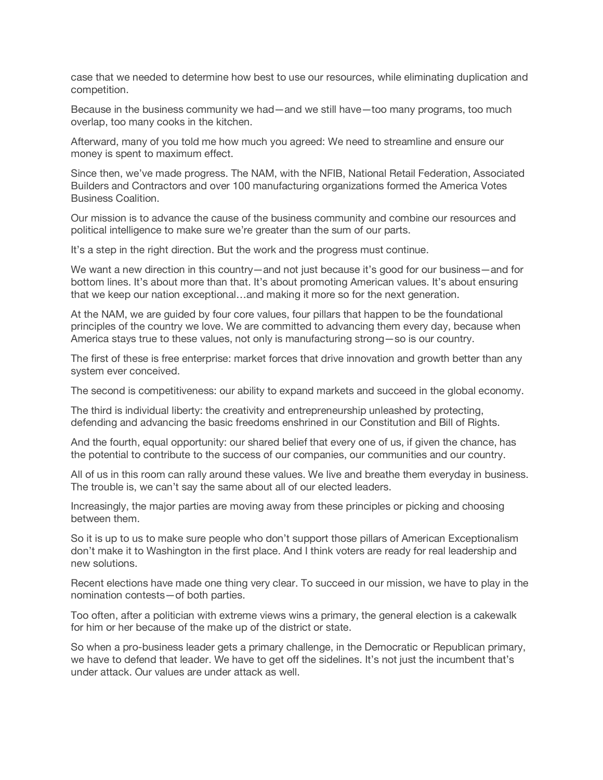case that we needed to determine how best to use our resources, while eliminating duplication and competition.

Because in the business community we had—and we still have—too many programs, too much overlap, too many cooks in the kitchen.

Afterward, many of you told me how much you agreed: We need to streamline and ensure our money is spent to maximum effect.

Since then, we've made progress. The NAM, with the NFIB, National Retail Federation, Associated Builders and Contractors and over 100 manufacturing organizations formed the America Votes Business Coalition.

Our mission is to advance the cause of the business community and combine our resources and political intelligence to make sure we're greater than the sum of our parts.

It's a step in the right direction. But the work and the progress must continue.

We want a new direction in this country—and not just because it's good for our business—and for bottom lines. It's about more than that. It's about promoting American values. It's about ensuring that we keep our nation exceptional…and making it more so for the next generation.

At the NAM, we are guided by four core values, four pillars that happen to be the foundational principles of the country we love. We are committed to advancing them every day, because when America stays true to these values, not only is manufacturing strong—so is our country.

The first of these is free enterprise: market forces that drive innovation and growth better than any system ever conceived.

The second is competitiveness: our ability to expand markets and succeed in the global economy.

The third is individual liberty: the creativity and entrepreneurship unleashed by protecting, defending and advancing the basic freedoms enshrined in our Constitution and Bill of Rights.

And the fourth, equal opportunity: our shared belief that every one of us, if given the chance, has the potential to contribute to the success of our companies, our communities and our country.

All of us in this room can rally around these values. We live and breathe them everyday in business. The trouble is, we can't say the same about all of our elected leaders.

Increasingly, the major parties are moving away from these principles or picking and choosing between them.

So it is up to us to make sure people who don't support those pillars of American Exceptionalism don't make it to Washington in the first place. And I think voters are ready for real leadership and new solutions.

Recent elections have made one thing very clear. To succeed in our mission, we have to play in the nomination contests—of both parties.

Too often, after a politician with extreme views wins a primary, the general election is a cakewalk for him or her because of the make up of the district or state.

So when a pro-business leader gets a primary challenge, in the Democratic or Republican primary, we have to defend that leader. We have to get off the sidelines. It's not just the incumbent that's under attack. Our values are under attack as well.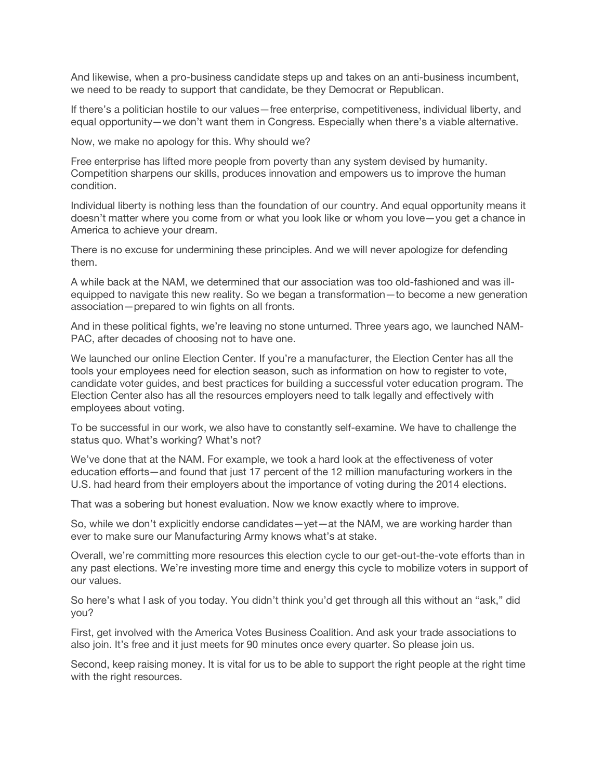And likewise, when a pro-business candidate steps up and takes on an anti-business incumbent, we need to be ready to support that candidate, be they Democrat or Republican.

If there's a politician hostile to our values—free enterprise, competitiveness, individual liberty, and equal opportunity—we don't want them in Congress. Especially when there's a viable alternative.

Now, we make no apology for this. Why should we?

Free enterprise has lifted more people from poverty than any system devised by humanity. Competition sharpens our skills, produces innovation and empowers us to improve the human condition.

Individual liberty is nothing less than the foundation of our country. And equal opportunity means it doesn't matter where you come from or what you look like or whom you love—you get a chance in America to achieve your dream.

There is no excuse for undermining these principles. And we will never apologize for defending them.

A while back at the NAM, we determined that our association was too old-fashioned and was illequipped to navigate this new reality. So we began a transformation—to become a new generation association—prepared to win fights on all fronts.

And in these political fights, we're leaving no stone unturned. Three years ago, we launched NAM-PAC, after decades of choosing not to have one.

We launched our online Election Center. If you're a manufacturer, the Election Center has all the tools your employees need for election season, such as information on how to register to vote, candidate voter guides, and best practices for building a successful voter education program. The Election Center also has all the resources employers need to talk legally and effectively with employees about voting.

To be successful in our work, we also have to constantly self-examine. We have to challenge the status quo. What's working? What's not?

We've done that at the NAM. For example, we took a hard look at the effectiveness of voter education efforts—and found that just 17 percent of the 12 million manufacturing workers in the U.S. had heard from their employers about the importance of voting during the 2014 elections.

That was a sobering but honest evaluation. Now we know exactly where to improve.

So, while we don't explicitly endorse candidates—yet—at the NAM, we are working harder than ever to make sure our Manufacturing Army knows what's at stake.

Overall, we're committing more resources this election cycle to our get-out-the-vote efforts than in any past elections. We're investing more time and energy this cycle to mobilize voters in support of our values.

So here's what I ask of you today. You didn't think you'd get through all this without an "ask," did you?

First, get involved with the America Votes Business Coalition. And ask your trade associations to also join. It's free and it just meets for 90 minutes once every quarter. So please join us.

Second, keep raising money. It is vital for us to be able to support the right people at the right time with the right resources.